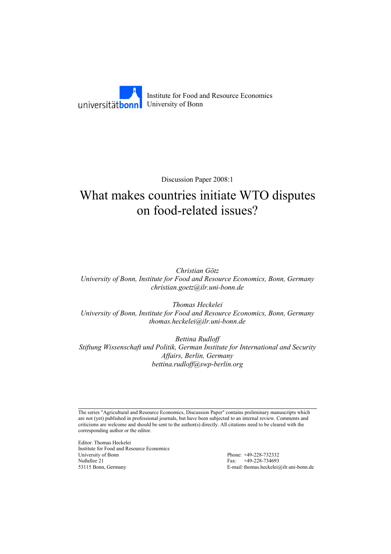

Discussion Paper 2008:1

# What makes countries initiate WTO disputes on food-related issues?

*Christian Götz University of Bonn, Institute for Food and Resource Economics, Bonn, Germany christian.goetz@ilr.uni-bonn.de* 

*Thomas Heckelei University of Bonn, Institute for Food and Resource Economics, Bonn, Germany thomas.heckelei@ilr.uni-bonn.de* 

*Bettina Rudloff Stiftung Wissenschaft und Politik, German Institute for International and Security Affairs, Berlin, Germany bettina.rudloff@swp-berlin.org* 

The series "Agricultural and Resource Economics, Discussion Paper" contains preliminary manuscripts which are not (yet) published in professional journals, but have been subjected to an internal review. Comments and criticisms are welcome and should be sent to the author(s) directly. All citations need to be cleared with the corresponding author or the editor.

Editor: Thomas Heckelei Institute for Food and Resource Economics University of Bonn Phone: +49-228-732332 Nußallee 21 Fax: +49-228-734693 53115 Bonn, Germany E-mail: thomas.heckelei@ilr.uni-bonn.de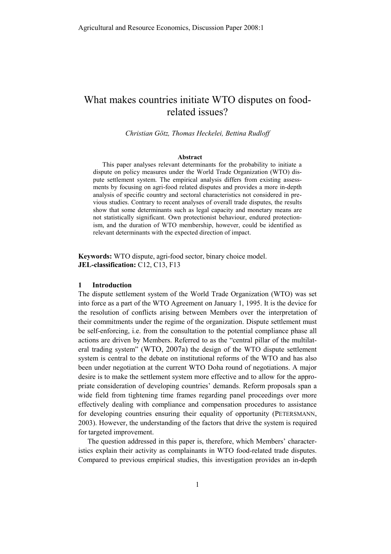# What makes countries initiate WTO disputes on foodrelated issues?

*Christian Götz, Thomas Heckelei, Bettina Rudloff* 

#### **Abstract**

This paper analyses relevant determinants for the probability to initiate a dispute on policy measures under the World Trade Organization (WTO) dispute settlement system. The empirical analysis differs from existing assessments by focusing on agri-food related disputes and provides a more in-depth analysis of specific country and sectoral characteristics not considered in previous studies. Contrary to recent analyses of overall trade disputes, the results show that some determinants such as legal capacity and monetary means are not statistically significant. Own protectionist behaviour, endured protectionism, and the duration of WTO membership, however, could be identified as relevant determinants with the expected direction of impact.

**Keywords:** WTO dispute, agri-food sector, binary choice model. **JEL-classification:** C12, C13, F13

#### **1 Introduction**

The dispute settlement system of the World Trade Organization (WTO) was set into force as a part of the WTO Agreement on January 1, 1995. It is the device for the resolution of conflicts arising between Members over the interpretation of their commitments under the regime of the organization. Dispute settlement must be self-enforcing, i.e. from the consultation to the potential compliance phase all actions are driven by Members. Referred to as the "central pillar of the multilateral trading system" (WTO, 2007a) the design of the WTO dispute settlement system is central to the debate on institutional reforms of the WTO and has also been under negotiation at the current WTO Doha round of negotiations. A major desire is to make the settlement system more effective and to allow for the appropriate consideration of developing countries' demands. Reform proposals span a wide field from tightening time frames regarding panel proceedings over more effectively dealing with compliance and compensation procedures to assistance for developing countries ensuring their equality of opportunity (PETERSMANN, 2003). However, the understanding of the factors that drive the system is required for targeted improvement.

The question addressed in this paper is, therefore, which Members' characteristics explain their activity as complainants in WTO food-related trade disputes. Compared to previous empirical studies, this investigation provides an in-depth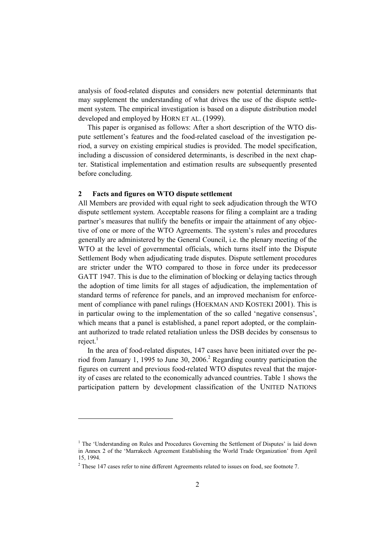analysis of food-related disputes and considers new potential determinants that may supplement the understanding of what drives the use of the dispute settlement system. The empirical investigation is based on a dispute distribution model developed and employed by HORN ET AL. (1999).

This paper is organised as follows: After a short description of the WTO dispute settlement's features and the food-related caseload of the investigation period, a survey on existing empirical studies is provided. The model specification, including a discussion of considered determinants, is described in the next chapter. Statistical implementation and estimation results are subsequently presented before concluding.

# **2 Facts and figures on WTO dispute settlement**

All Members are provided with equal right to seek adjudication through the WTO dispute settlement system. Acceptable reasons for filing a complaint are a trading partner's measures that nullify the benefits or impair the attainment of any objective of one or more of the WTO Agreements. The system's rules and procedures generally are administered by the General Council, i.e. the plenary meeting of the WTO at the level of governmental officials, which turns itself into the Dispute Settlement Body when adjudicating trade disputes. Dispute settlement procedures are stricter under the WTO compared to those in force under its predecessor GATT 1947. This is due to the elimination of blocking or delaying tactics through the adoption of time limits for all stages of adjudication, the implementation of standard terms of reference for panels, and an improved mechanism for enforcement of compliance with panel rulings (HOEKMAN AND KOSTEKI 2001). This is in particular owing to the implementation of the so called 'negative consensus', which means that a panel is established, a panel report adopted, or the complainant authorized to trade related retaliation unless the DSB decides by consensus to reject. $<sup>1</sup>$ </sup>

In the area of food-related disputes, 147 cases have been initiated over the period from January 1, 1995 to June 30, 2006.<sup>2</sup> Regarding country participation the figures on current and previous food-related WTO disputes reveal that the majority of cases are related to the economically advanced countries. Table 1 shows the participation pattern by development classification of the UNITED NATIONS

 $\overline{\phantom{a}}$ 

<sup>&</sup>lt;sup>1</sup> The 'Understanding on Rules and Procedures Governing the Settlement of Disputes' is laid down in Annex 2 of the 'Marrakech Agreement Establishing the World Trade Organization' from April 15, 1994.

 $2$  These 147 cases refer to nine different Agreements related to issues on food, see footnote 7.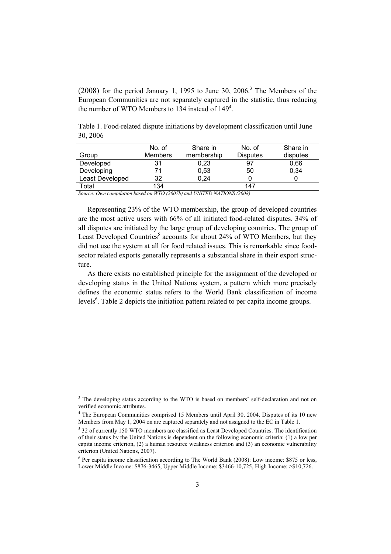$(2008)$  for the period January 1, 1995 to June 30, 2006.<sup>3</sup> The Members of the European Communities are not separately captured in the statistic, thus reducing the number of WTO Members to 134 instead of 149<sup>4</sup>.

Table 1. Food-related dispute initiations by development classification until June 30, 2006

|                 | No. of         | Share in<br>No. of |                 | Share in |
|-----------------|----------------|--------------------|-----------------|----------|
| Group           | <b>Members</b> | membership         | <b>Disputes</b> | disputes |
| Developed       |                | 0.23               | 97              | 0,66     |
| Developing      |                | 0,53               | 50              | 0,34     |
| Least Developed | 32             | 0.24               |                 |          |
| Total           | 134            |                    | 147             |          |

*Source: Own compilation based on WTO (2007b) and UNITED NATIONS (2008)* 

l

Representing 23% of the WTO membership, the group of developed countries are the most active users with 66% of all initiated food-related disputes. 34% of all disputes are initiated by the large group of developing countries. The group of Least Developed Countries<sup>5</sup> accounts for about 24% of WTO Members, but they did not use the system at all for food related issues. This is remarkable since foodsector related exports generally represents a substantial share in their export structure.

As there exists no established principle for the assignment of the developed or developing status in the United Nations system, a pattern which more precisely defines the economic status refers to the World Bank classification of income levels<sup>6</sup>. Table 2 depicts the initiation pattern related to per capita income groups.

<sup>&</sup>lt;sup>3</sup> The developing status according to the WTO is based on members' self-declaration and not on verified economic attributes.

<sup>&</sup>lt;sup>4</sup> The European Communities comprised 15 Members until April 30, 2004. Disputes of its 10 new Members from May 1, 2004 on are captured separately and not assigned to the EC in Table 1.

<sup>&</sup>lt;sup>5</sup> 32 of currently 150 WTO members are classified as Least Developed Countries. The identification of their status by the United Nations is dependent on the following economic criteria: (1) a low per capita income criterion, (2) a human resource weakness criterion and (3) an economic vulnerability criterion (United Nations, 2007).

<sup>&</sup>lt;sup>6</sup> Per capita income classification according to The World Bank (2008): Low income: \$875 or less, Lower Middle Income: \$876-3465, Upper Middle Income: \$3466-10,725, High Income: >\$10,726.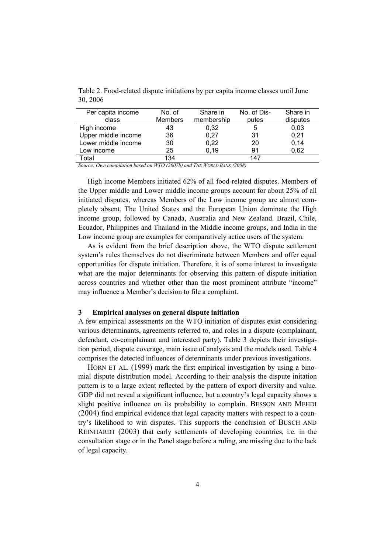Table 2. Food-related dispute initiations by per capita income classes until June 30, 2006

| Per capita income   | No. of         | Share in   | No. of Dis- | Share in |
|---------------------|----------------|------------|-------------|----------|
| class               | <b>Members</b> | membership | putes       | disputes |
| High income         | 43             | 0.32       | 5           | 0,03     |
| Upper middle income | 36             | 0.27       | 31          | 0,21     |
| Lower middle income | 30             | 0,22       | 20          | 0,14     |
| Low income          | 25             | 0.19       | 91          | 0.62     |
| Total               | 134            |            | 147         |          |

*Source: Own compilation based on WTO (2007b) and THE WORLD BANK (2008)* 

High income Members initiated 62% of all food-related disputes. Members of the Upper middle and Lower middle income groups account for about 25% of all initiated disputes, whereas Members of the Low income group are almost completely absent. The United States and the European Union dominate the High income group, followed by Canada, Australia and New Zealand. Brazil, Chile, Ecuador, Philippines and Thailand in the Middle income groups, and India in the Low income group are examples for comparatively actice users of the system.

As is evident from the brief description above, the WTO dispute settlement system's rules themselves do not discriminate between Members and offer equal opportunities for dispute initiation. Therefore, it is of some interest to investigate what are the major determinants for observing this pattern of dispute initiation across countries and whether other than the most prominent attribute "income" may influence a Member's decision to file a complaint.

# **3 Empirical analyses on general dispute initiation**

A few empirical assessments on the WTO initiation of disputes exist considering various determinants, agreements referred to, and roles in a dispute (complainant, defendant, co-complainant and interested party). Table 3 depicts their investigation period, dispute coverage, main issue of analysis and the models used. Table 4 comprises the detected influences of determinants under previous investigations.

HORN ET AL. (1999) mark the first empirical investigation by using a binomial dispute distribution model. According to their analysis the dispute initation pattern is to a large extent reflected by the pattern of export diversity and value. GDP did not reveal a significant influence, but a country's legal capacity shows a slight positive influence on its probability to complain. BESSON AND MEHDI (2004) find empirical evidence that legal capacity matters with respect to a country's likelihood to win disputes. This supports the conclusion of BUSCH AND REINHARDT (2003) that early settlements of developing countries, i.e. in the consultation stage or in the Panel stage before a ruling, are missing due to the lack of legal capacity.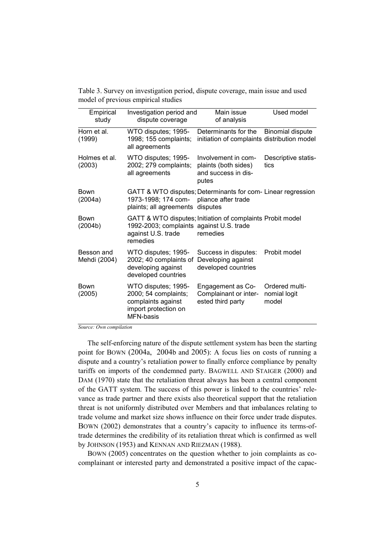Table 3. Survey on investigation period, dispute coverage, main issue and used model of previous empirical studies

| Empirical<br>study         | Investigation period and<br>dispute coverage                                                                                             | Main issue<br>of analysis                                                   | Used model                              |
|----------------------------|------------------------------------------------------------------------------------------------------------------------------------------|-----------------------------------------------------------------------------|-----------------------------------------|
| Horn et al.<br>(1999)      | WTO disputes; 1995-<br>1998; 155 complaints;<br>all agreements                                                                           | Determinants for the<br>initiation of complaints distribution model         | <b>Binomial dispute</b>                 |
| Holmes et al.<br>(2003)    | WTO disputes; 1995-<br>2002; 279 complaints;<br>all agreements                                                                           | Involvement in com-<br>plaints (both sides)<br>and success in dis-<br>putes | Descriptive statis-<br>tics             |
| Bown<br>(2004a)            | GATT & WTO disputes; Determinants for com- Linear regression<br>1973-1998; 174 com-<br>plaints; all agreements                           | pliance after trade<br>disputes                                             |                                         |
| Bown<br>(2004b)            | GATT & WTO disputes; Initiation of complaints Probit model<br>1992-2003; complaints against U.S. trade<br>against U.S. trade<br>remedies | remedies                                                                    |                                         |
| Besson and<br>Mehdi (2004) | WTO disputes; 1995-<br>2002; 40 complaints of<br>developing against<br>developed countries                                               | Success in disputes:<br>Developing against<br>developed countries           | Probit model                            |
| Bown<br>(2005)             | WTO disputes; 1995-<br>2000; 54 complaints;<br>complaints against<br>import protection on<br><b>MFN-basis</b>                            | Engagement as Co-<br>Complainant or inter-<br>ested third party             | Ordered multi-<br>nomial logit<br>model |

*Source: Own compilation* 

The self-enforcing nature of the dispute settlement system has been the starting point for BOWN (2004a, 2004b and 2005): A focus lies on costs of running a dispute and a country's retaliation power to finally enforce compliance by penalty tariffs on imports of the condemned party. BAGWELL AND STAIGER (2000) and DAM (1970) state that the retaliation threat always has been a central component of the GATT system. The success of this power is linked to the countries' relevance as trade partner and there exists also theoretical support that the retaliation threat is not uniformly distributed over Members and that imbalances relating to trade volume and market size shows influence on their force under trade disputes. BOWN (2002) demonstrates that a country's capacity to influence its terms-oftrade determines the credibility of its retaliation threat which is confirmed as well by JOHNSON (1953) and KENNAN AND RIEZMAN (1988).

BOWN (2005) concentrates on the question whether to join complaints as cocomplainant or interested party and demonstrated a positive impact of the capac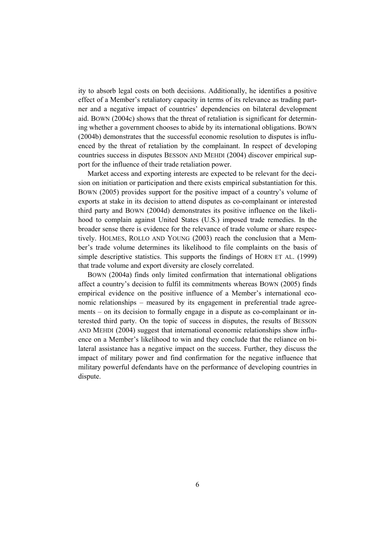ity to absorb legal costs on both decisions. Additionally, he identifies a positive effect of a Member's retaliatory capacity in terms of its relevance as trading partner and a negative impact of countries' dependencies on bilateral development aid. BOWN (2004c) shows that the threat of retaliation is significant for determining whether a government chooses to abide by its international obligations. BOWN (2004b) demonstrates that the successful economic resolution to disputes is influenced by the threat of retaliation by the complainant. In respect of developing countries success in disputes BESSON AND MEHDI (2004) discover empirical support for the influence of their trade retaliation power.

Market access and exporting interests are expected to be relevant for the decision on initiation or participation and there exists empirical substantiation for this. BOWN (2005) provides support for the positive impact of a country's volume of exports at stake in its decision to attend disputes as co-complainant or interested third party and BOWN (2004d) demonstrates its positive influence on the likelihood to complain against United States (U.S.) imposed trade remedies. In the broader sense there is evidence for the relevance of trade volume or share respectively. HOLMES, ROLLO AND YOUNG (2003) reach the conclusion that a Member's trade volume determines its likelihood to file complaints on the basis of simple descriptive statistics. This supports the findings of HORN ET AL. (1999) that trade volume and export diversity are closely correlated.

BOWN (2004a) finds only limited confirmation that international obligations affect a country's decision to fulfil its commitments whereas BOWN (2005) finds empirical evidence on the positive influence of a Member's international economic relationships – measured by its engagement in preferential trade agreements – on its decision to formally engage in a dispute as co-complainant or interested third party. On the topic of success in disputes, the results of BESSON AND MEHDI (2004) suggest that international economic relationships show influence on a Member's likelihood to win and they conclude that the reliance on bilateral assistance has a negative impact on the success. Further, they discuss the impact of military power and find confirmation for the negative influence that military powerful defendants have on the performance of developing countries in dispute.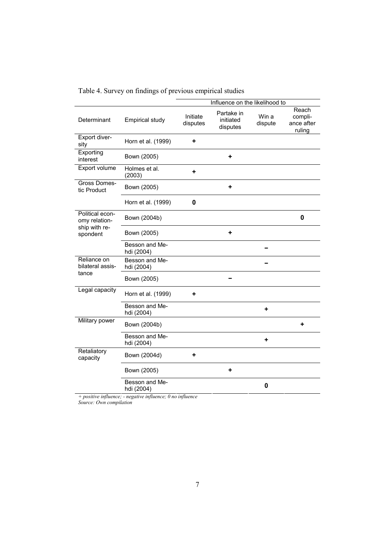|                                                               | Influence on the likelihood to |                      |                                     |                  |                                          |
|---------------------------------------------------------------|--------------------------------|----------------------|-------------------------------------|------------------|------------------------------------------|
| Determinant                                                   | <b>Empirical study</b>         | Initiate<br>disputes | Partake in<br>initiated<br>disputes | Win a<br>dispute | Reach<br>compli-<br>ance after<br>ruling |
| Export diver-<br>sity                                         | Horn et al. (1999)             | ٠                    |                                     |                  |                                          |
| Exporting<br>interest                                         | Bown (2005)                    |                      | ٠                                   |                  |                                          |
| Export volume                                                 | Holmes et al.<br>(2003)        | ÷                    |                                     |                  |                                          |
| Gross Domes-<br>tic Product                                   | Bown (2005)                    |                      | ٠                                   |                  |                                          |
|                                                               | Horn et al. (1999)             | 0                    |                                     |                  |                                          |
| Political econ-<br>omy relation-<br>ship with re-<br>spondent | Bown (2004b)                   |                      |                                     |                  | 0                                        |
|                                                               | Bown (2005)                    |                      | ÷                                   |                  |                                          |
|                                                               | Besson and Me-<br>hdi (2004)   |                      |                                     |                  |                                          |
| Reliance on<br>bilateral assis-                               | Besson and Me-<br>hdi (2004)   |                      |                                     |                  |                                          |
| tance                                                         | Bown (2005)                    |                      |                                     |                  |                                          |
| Legal capacity                                                | Horn et al. (1999)             | ÷                    |                                     |                  |                                          |
|                                                               | Besson and Me-<br>hdi (2004)   |                      |                                     | ÷                |                                          |
| Military power                                                | Bown (2004b)                   |                      |                                     |                  | ٠                                        |
|                                                               | Besson and Me-<br>hdi (2004)   |                      |                                     | ٠                |                                          |
| Retaliatory<br>capacity                                       | Bown (2004d)                   | ٠                    |                                     |                  |                                          |
|                                                               | Bown (2005)                    |                      | ÷                                   |                  |                                          |
|                                                               | Besson and Me-<br>hdi (2004)   |                      |                                     | 0                |                                          |

Table 4. Survey on findings of previous empirical studies

*+ positive influence; - negative influence; 0 no influence* 

*Source: Own compilation*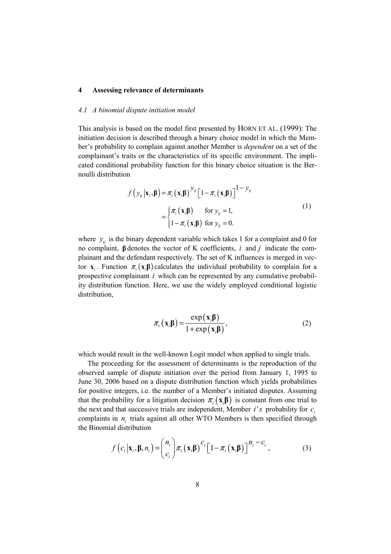# **4 Assessing relevance of determinants**

#### *4.1 A binomial dispute initiation model*

This analysis is based on the model first presented by HORN ET AL. (1999): The initiation decision is described through a binary choice model in which the Member's probability to complain against another Member is *dependent* on a set of the complainant's traits or the characteristics of its specific environment. The implicated conditional probability function for this binary choice situation is the Bernoulli distribution

$$
f\left(y_{ij}|\mathbf{x}_{i},\boldsymbol{\beta}\right) = \pi_{i}\left(\mathbf{x}_{i}\boldsymbol{\beta}\right)^{y_{ij}}\left[1-\pi_{i}\left(\mathbf{x}_{i}\boldsymbol{\beta}\right)\right]^{1-y_{ij}}
$$
  
= 
$$
\begin{cases} \pi_{i}\left(\mathbf{x}_{i}\boldsymbol{\beta}\right) & \text{for } y_{ij} = 1, \\ 1-\pi_{i}\left(\mathbf{x}_{i}\boldsymbol{\beta}\right) & \text{for } y_{ij} = 0. \end{cases}
$$
 (1)

where  $y_{ij}$  is the binary dependent variable which takes 1 for a complaint and 0 for no complaint, **β** denotes the vector of K coefficients, *i* and *j* indicate the complainant and the defendant respectively. The set of K influences is merged in vector  $\mathbf{x}_i$ . Function  $\pi_i(\mathbf{x}, \mathbf{\beta})$  calculates the individual probability to complain for a prospective complainant *i* which can be represented by any cumulative probability distribution function. Here, we use the widely employed conditional logistic distribution,

$$
\pi_i(\mathbf{x}_i \mathbf{\beta}) = \frac{\exp(\mathbf{x}_i \mathbf{\beta})}{1 + \exp(\mathbf{x}_i \mathbf{\beta})},
$$
\n(2)

which would result in the well-known Logit model when applied to single trials.

The proceeding for the assessment of determinants is the reproduction of the observed sample of dispute initiation over the period from January 1, 1995 to June 30, 2006 based on a dispute distribution function which yields probabilities for positive integers, i.e. the number of a Member's initiated disputes. Assuming that the probability for a litigation decision  $\pi$ ,  $(\mathbf{x}, \mathbf{\beta})$  is constant from one trial to the next and that successive trials are independent, Member  $i$ 's probability for  $c_i$ complaints in  $n_i$  trials against all other WTO Members is then specified through the Binomial distribution

$$
f(c_i|\mathbf{x}_i, \boldsymbol{\beta}, n_i) = {n_i \choose c_i} \pi_i(\mathbf{x}_i \boldsymbol{\beta})^{c_i} \left[1 - \pi_i(\mathbf{x}_i \boldsymbol{\beta})\right]^{n_i - c_i}, \qquad (3)
$$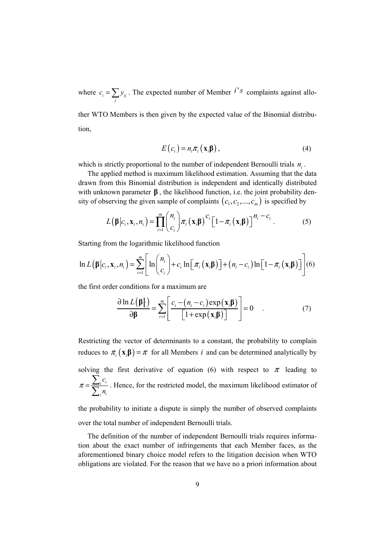where  $c_i = \sum_j y_{ij}$  $c_i = \sum y_{ii}$ . The expected number of Member *i*<sup>t</sup>s complaints against allo-

ther WTO Members is then given by the expected value of the Binomial distribution,

$$
E(c_i) = n_i \pi_i(\mathbf{x}_i \mathbf{\beta}), \qquad (4)
$$

which is strictly proportional to the number of independent Bernoulli trials  $n_i$ .

The applied method is maximum likelihood estimation. Assuming that the data drawn from this Binomial distribution is independent and identically distributed with unknown parameter **β**, the likelihood function, i.e. the joint probability density of observing the given sample of complaints  $(c_1, c_2, ..., c_m)$  is specified by

$$
L(\boldsymbol{\beta}|c_i, \mathbf{x}_i, n_i) = \prod_{i=1}^m {n_i \choose c_i} \pi_i(\mathbf{x}_i \boldsymbol{\beta})^{c_i} \left[1 - \pi_i(\mathbf{x}_i \boldsymbol{\beta})\right]^{n_i - c_i}.
$$
 (5)

Starting from the logarithmic likelihood function

$$
\ln L(\boldsymbol{\beta}|c_i, \mathbf{x}_i, n_i) = \sum_{i=1}^{m} \Biggl[ \ln \binom{n_i}{c_i} + c_i \ln \Bigl[ \pi_i(\mathbf{x}_i \boldsymbol{\beta}) \Bigr] + (n_i - c_i) \ln \Bigl[ 1 - \pi_i(\mathbf{x}_i \boldsymbol{\beta}) \Bigr] \Biggr] (6)
$$

the first order conditions for a maximum are

$$
\frac{\partial \ln L(\beta| \cdot)}{\partial \beta} = \sum_{i=1}^{m} \left[ \frac{c_i - (n_i - c_i) \exp(\mathbf{x}_i \beta)}{\left[ 1 + \exp(\mathbf{x}_i \beta) \right]} \right] = 0 \quad . \tag{7}
$$

Restricting the vector of determinants to a constant, the probability to complain reduces to  $\pi_i$  ( $\mathbf{x} \cdot \mathbf{\beta}$ ) =  $\pi$  for all Members *i* and can be determined analytically by

solving the first derivative of equation (6) with respect to  $\pi$  leading to *i i*  $\mathbf{u}_i$ *c n*  $\pi = \sum_{n=1}^{\infty}$  $\sum_{i=1}^{n}$ . Hence, for the restricted model, the maximum likelihood estimator of

the probability to initiate a dispute is simply the number of observed complaints over the total number of independent Bernoulli trials.

The definition of the number of independent Bernoulli trials requires information about the exact number of infringements that each Member faces, as the aforementioned binary choice model refers to the litigation decision when WTO obligations are violated. For the reason that we have no a priori information about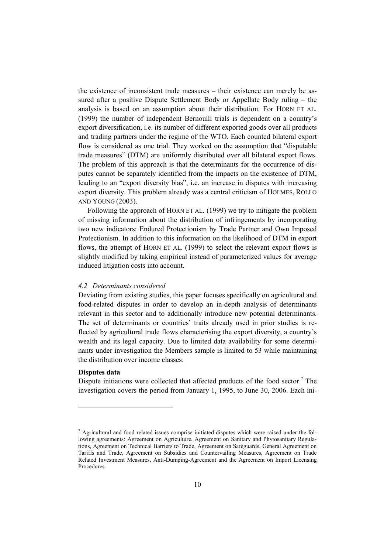the existence of inconsistent trade measures – their existence can merely be assured after a positive Dispute Settlement Body or Appellate Body ruling – the analysis is based on an assumption about their distribution. For HORN ET AL. (1999) the number of independent Bernoulli trials is dependent on a country's export diversification, i.e. its number of different exported goods over all products and trading partners under the regime of the WTO. Each counted bilateral export flow is considered as one trial. They worked on the assumption that "disputable trade measures" (DTM) are uniformly distributed over all bilateral export flows. The problem of this approach is that the determinants for the occurrence of disputes cannot be separately identified from the impacts on the existence of DTM, leading to an "export diversity bias", i.e. an increase in disputes with increasing export diversity. This problem already was a central criticism of HOLMES, ROLLO AND YOUNG (2003).

Following the approach of HORN ET AL. (1999) we try to mitigate the problem of missing information about the distribution of infringements by incorporating two new indicators: Endured Protectionism by Trade Partner and Own Imposed Protectionism. In addition to this information on the likelihood of DTM in export flows, the attempt of HORN ET AL. (1999) to select the relevant export flows is slightly modified by taking empirical instead of parameterized values for average induced litigation costs into account.

# *4.2 Determinants considered*

Deviating from existing studies, this paper focuses specifically on agricultural and food-related disputes in order to develop an in-depth analysis of determinants relevant in this sector and to additionally introduce new potential determinants. The set of determinants or countries' traits already used in prior studies is reflected by agricultural trade flows characterising the export diversity, a country's wealth and its legal capacity. Due to limited data availability for some determinants under investigation the Members sample is limited to 53 while maintaining the distribution over income classes.

#### **Disputes data**

 $\overline{a}$ 

Dispute initiations were collected that affected products of the food sector.<sup>7</sup> The investigation covers the period from January 1, 1995, to June 30, 2006. Each ini-

 $<sup>7</sup>$  Agricultural and food related issues comprise initiated disputes which were raised under the fol-</sup> lowing agreements: Agreement on Agriculture, Agreement on Sanitary and Phytosanitary Regulations, Agreement on Technical Barriers to Trade, Agreement on Safeguards, General Agreement on Tariffs and Trade, Agreement on Subsidies and Countervailing Measures, Agreement on Trade Related Investment Measures, Anti-Dumping-Agreement and the Agreement on Import Licensing Procedures.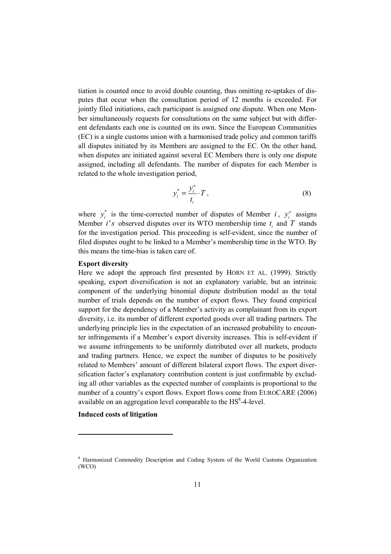tiation is counted once to avoid double counting, thus omitting re-uptakes of disputes that occur when the consultation period of 12 months is exceeded. For jointly filed initiations, each participant is assigned one dispute. When one Member simultaneously requests for consultations on the same subject but with different defendants each one is counted on its own. Since the European Communities (EC) is a single customs union with a harmonised trade policy and common tariffs all disputes initiated by its Members are assigned to the EC. On the other hand, when disputes are initiated against several EC Members there is only one dispute assigned, including all defendants. The number of disputes for each Member is related to the whole investigation period,

$$
y_i^* = \frac{y_i^o}{t_i} \cdot T \,,\tag{8}
$$

where  $y_i^*$  is the time-corrected number of disputes of Member *i*,  $y_i^o$  assigns Member  $i's$  observed disputes over its WTO membership time  $t_i$  and  $T$  stands for the investigation period. This proceeding is self-evident, since the number of filed disputes ought to be linked to a Member's membership time in the WTO. By this means the time-bias is taken care of.

# **Export diversity**

Here we adopt the approach first presented by HORN ET AL. (1999). Strictly speaking, export diversification is not an explanatory variable, but an intrinsic component of the underlying binomial dispute distribution model as the total number of trials depends on the number of export flows. They found empirical support for the dependency of a Member's activity as complainant from its export diversity, i.e. its number of different exported goods over all trading partners. The underlying principle lies in the expectation of an increased probability to encounter infringements if a Member's export diversity increases. This is self-evident if we assume infringements to be uniformly distributed over all markets, products and trading partners. Hence, we expect the number of disputes to be positively related to Members' amount of different bilateral export flows. The export diversification factor's explanatory contribution content is just confirmable by excluding all other variables as the expected number of complaints is proportional to the number of a country's export flows. Export flows come from EUROCARE (2006) available on an aggregation level comparable to the  $HS<sup>8</sup>-4$ -level.

# **Induced costs of litigation**

l

<sup>&</sup>lt;sup>8</sup> Harmonized Commodity Description and Coding System of the World Customs Organization (WCO)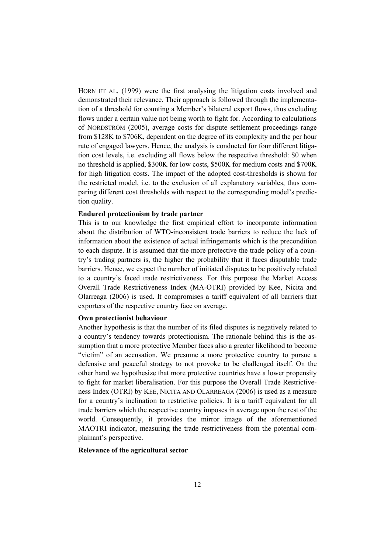HORN ET AL. (1999) were the first analysing the litigation costs involved and demonstrated their relevance. Their approach is followed through the implementation of a threshold for counting a Member's bilateral export flows, thus excluding flows under a certain value not being worth to fight for. According to calculations of NORDSTRÖM (2005), average costs for dispute settlement proceedings range from \$128K to \$706K, dependent on the degree of its complexity and the per hour rate of engaged lawyers. Hence, the analysis is conducted for four different litigation cost levels, i.e. excluding all flows below the respective threshold: \$0 when no threshold is applied, \$300K for low costs, \$500K for medium costs and \$700K for high litigation costs. The impact of the adopted cost-thresholds is shown for the restricted model, i.e. to the exclusion of all explanatory variables, thus comparing different cost thresholds with respect to the corresponding model's prediction quality.

# **Endured protectionism by trade partner**

This is to our knowledge the first empirical effort to incorporate information about the distribution of WTO-inconsistent trade barriers to reduce the lack of information about the existence of actual infringements which is the precondition to each dispute. It is assumed that the more protective the trade policy of a country's trading partners is, the higher the probability that it faces disputable trade barriers. Hence, we expect the number of initiated disputes to be positively related to a country's faced trade restrictiveness. For this purpose the Market Access Overall Trade Restrictiveness Index (MA-OTRI) provided by Kee, Nicita and Olarreaga (2006) is used. It compromises a tariff equivalent of all barriers that exporters of the respective country face on average.

# **Own protectionist behaviour**

Another hypothesis is that the number of its filed disputes is negatively related to a country's tendency towards protectionism. The rationale behind this is the assumption that a more protective Member faces also a greater likelihood to become "victim" of an accusation. We presume a more protective country to pursue a defensive and peaceful strategy to not provoke to be challenged itself. On the other hand we hypothesize that more protective countries have a lower propensity to fight for market liberalisation. For this purpose the Overall Trade Restrictiveness Index (OTRI) by KEE, NICITA AND OLARREAGA (2006) is used as a measure for a country's inclination to restrictive policies. It is a tariff equivalent for all trade barriers which the respective country imposes in average upon the rest of the world. Consequently, it provides the mirror image of the aforementioned MAOTRI indicator, measuring the trade restrictiveness from the potential complainant's perspective.

#### **Relevance of the agricultural sector**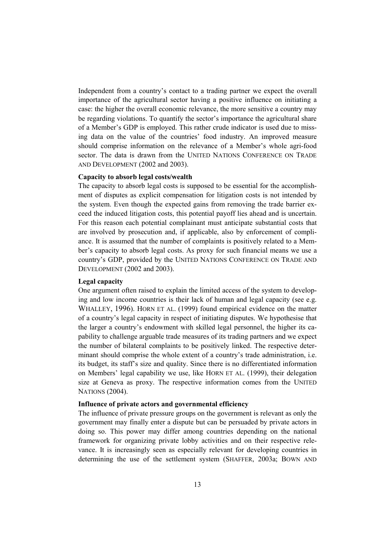Independent from a country's contact to a trading partner we expect the overall importance of the agricultural sector having a positive influence on initiating a case: the higher the overall economic relevance, the more sensitive a country may be regarding violations. To quantify the sector's importance the agricultural share of a Member's GDP is employed. This rather crude indicator is used due to missing data on the value of the countries' food industry. An improved measure should comprise information on the relevance of a Member's whole agri-food sector. The data is drawn from the UNITED NATIONS CONFERENCE ON TRADE AND DEVELOPMENT (2002 and 2003).

#### **Capacity to absorb legal costs/wealth**

The capacity to absorb legal costs is supposed to be essential for the accomplishment of disputes as explicit compensation for litigation costs is not intended by the system. Even though the expected gains from removing the trade barrier exceed the induced litigation costs, this potential payoff lies ahead and is uncertain. For this reason each potential complainant must anticipate substantial costs that are involved by prosecution and, if applicable, also by enforcement of compliance. It is assumed that the number of complaints is positively related to a Member's capacity to absorb legal costs. As proxy for such financial means we use a country's GDP, provided by the UNITED NATIONS CONFERENCE ON TRADE AND DEVELOPMENT (2002 and 2003).

# **Legal capacity**

One argument often raised to explain the limited access of the system to developing and low income countries is their lack of human and legal capacity (see e.g. WHALLEY, 1996). HORN ET AL. (1999) found empirical evidence on the matter of a country's legal capacity in respect of initiating disputes. We hypothesise that the larger a country's endowment with skilled legal personnel, the higher its capability to challenge arguable trade measures of its trading partners and we expect the number of bilateral complaints to be positively linked. The respective determinant should comprise the whole extent of a country's trade administration, i.e. its budget, its staff's size and quality. Since there is no differentiated information on Members' legal capability we use, like HORN ET AL. (1999), their delegation size at Geneva as proxy. The respective information comes from the UNITED NATIONS (2004).

#### **Influence of private actors and governmental efficiency**

The influence of private pressure groups on the government is relevant as only the government may finally enter a dispute but can be persuaded by private actors in doing so. This power may differ among countries depending on the national framework for organizing private lobby activities and on their respective relevance. It is increasingly seen as especially relevant for developing countries in determining the use of the settlement system (SHAFFER, 2003a; BOWN AND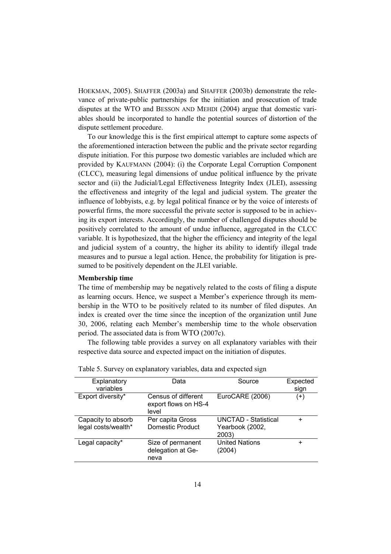HOEKMAN, 2005). SHAFFER (2003a) and SHAFFER (2003b) demonstrate the relevance of private-public partnerships for the initiation and prosecution of trade disputes at the WTO and BESSON AND MEHDI (2004) argue that domestic variables should be incorporated to handle the potential sources of distortion of the dispute settlement procedure.

To our knowledge this is the first empirical attempt to capture some aspects of the aforementioned interaction between the public and the private sector regarding dispute initiation. For this purpose two domestic variables are included which are provided by KAUFMANN (2004): (i) the Corporate Legal Corruption Component (CLCC), measuring legal dimensions of undue political influence by the private sector and (ii) the Judicial/Legal Effectiveness Integrity Index (JLEI), assessing the effectiveness and integrity of the legal and judicial system. The greater the influence of lobbyists, e.g. by legal political finance or by the voice of interests of powerful firms, the more successful the private sector is supposed to be in achieving its export interests. Accordingly, the number of challenged disputes should be positively correlated to the amount of undue influence, aggregated in the CLCC variable. It is hypothesized, that the higher the efficiency and integrity of the legal and judicial system of a country, the higher its ability to identify illegal trade measures and to pursue a legal action. Hence, the probability for litigation is presumed to be positively dependent on the JLEI variable.

## **Membership time**

The time of membership may be negatively related to the costs of filing a dispute as learning occurs. Hence, we suspect a Member's experience through its membership in the WTO to be positively related to its number of filed disputes. An index is created over the time since the inception of the organization until June 30, 2006, relating each Member's membership time to the whole observation period. The associated data is from WTO (2007c).

The following table provides a survey on all explanatory variables with their respective data source and expected impact on the initiation of disputes.

| Data                | Source                                                                                                         | Expected                                                                                                      |
|---------------------|----------------------------------------------------------------------------------------------------------------|---------------------------------------------------------------------------------------------------------------|
|                     |                                                                                                                |                                                                                                               |
|                     |                                                                                                                | sign                                                                                                          |
| Census of different |                                                                                                                | $(+)$                                                                                                         |
|                     |                                                                                                                |                                                                                                               |
|                     |                                                                                                                |                                                                                                               |
| level               |                                                                                                                |                                                                                                               |
|                     |                                                                                                                | $\ddot{}$                                                                                                     |
|                     |                                                                                                                |                                                                                                               |
|                     |                                                                                                                |                                                                                                               |
|                     |                                                                                                                |                                                                                                               |
|                     |                                                                                                                |                                                                                                               |
|                     |                                                                                                                | $\ddot{}$                                                                                                     |
|                     |                                                                                                                |                                                                                                               |
|                     |                                                                                                                |                                                                                                               |
|                     |                                                                                                                |                                                                                                               |
|                     | export flows on HS-4<br>Per capita Gross<br>Domestic Product<br>Size of permanent<br>delegation at Ge-<br>neva | EuroCARE (2006)<br><b>UNCTAD - Statistical</b><br>Yearbook (2002,<br>2003)<br><b>United Nations</b><br>(2004) |

|  | Table 5. Survey on explanatory variables, data and expected sign |  |  |  |
|--|------------------------------------------------------------------|--|--|--|
|  |                                                                  |  |  |  |
|  |                                                                  |  |  |  |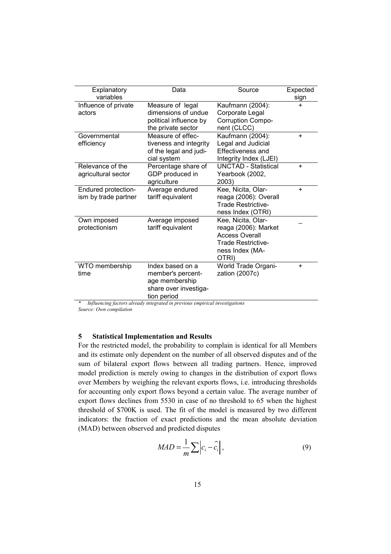| Explanatory<br>variables       | Data                                    | Source                      | Expected  |
|--------------------------------|-----------------------------------------|-----------------------------|-----------|
|                                | Measure of legal                        | Kaufmann (2004):            | sign<br>+ |
| Influence of private<br>actors | dimensions of undue                     | Corporate Legal             |           |
|                                |                                         | <b>Corruption Compo-</b>    |           |
|                                | political influence by                  |                             |           |
|                                | the private sector<br>Measure of effec- | nent (CLCC)                 | $+$       |
| Governmental                   |                                         | Kaufmann (2004):            |           |
| efficiency                     | tiveness and integrity                  | Legal and Judicial          |           |
|                                | of the legal and judi-                  | Effectiveness and           |           |
|                                | cial system                             | Integrity Index (LJEI)      |           |
| Relevance of the               | Percentage share of                     | <b>UNCTAD - Statistical</b> | $+$       |
| agricultural sector            | GDP produced in                         | Yearbook (2002,             |           |
|                                | agriculture                             | 2003)                       |           |
| <b>Endured protection-</b>     | Average endured                         | Kee, Nicita, Olar-          | $+$       |
| ism by trade partner           | tariff equivalent                       | reaga (2006): Overall       |           |
|                                |                                         | <b>Trade Restrictive-</b>   |           |
|                                |                                         | ness Index (OTRI)           |           |
| Own imposed                    | Average imposed                         | Kee, Nicita, Olar-          |           |
| protectionism                  | tariff equivalent                       | reaga (2006): Market        |           |
|                                |                                         | <b>Access Overall</b>       |           |
|                                |                                         | Trade Restrictive-          |           |
|                                |                                         | ness Index (MA-             |           |
|                                |                                         | OTRI)                       |           |
| WTO membership                 | Index based on a                        | World Trade Organi-         | $+$       |
| time                           | member's percent-                       | zation (2007c)              |           |
|                                | age membership                          |                             |           |
|                                | share over investiga-                   |                             |           |
|                                | tion period                             |                             |           |

*\* Influencing factors already integrated in previous empirical investigations Source: Own compilation* 

# **5 Statistical Implementation and Results**

For the restricted model, the probability to complain is identical for all Members and its estimate only dependent on the number of all observed disputes and of the sum of bilateral export flows between all trading partners. Hence, improved model prediction is merely owing to changes in the distribution of export flows over Members by weighing the relevant exports flows, i.e. introducing thresholds for accounting only export flows beyond a certain value. The average number of export flows declines from 5530 in case of no threshold to 65 when the highest threshold of \$700K is used. The fit of the model is measured by two different indicators: the fraction of exact predictions and the mean absolute deviation (MAD) between observed and predicted disputes

$$
MAD = \frac{1}{m} \sum |c_i - \hat{c}_i|,\tag{9}
$$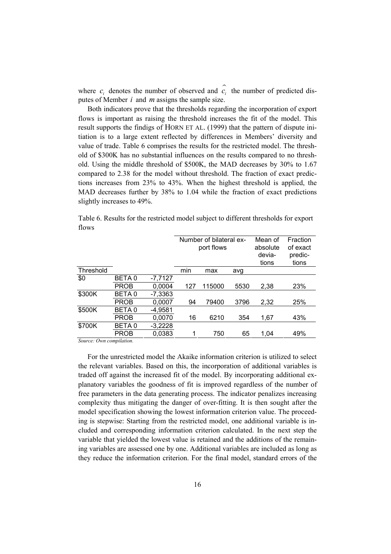where  $c_i$  denotes the number of observed and  $\hat{c}_i$  the number of predicted disputes of Member *i* and *m* assigns the sample size.

Both indicators prove that the thresholds regarding the incorporation of export flows is important as raising the threshold increases the fit of the model. This result supports the findigs of HORN ET AL. (1999) that the pattern of dispute initiation is to a large extent reflected by differences in Members' diversity and value of trade. Table 6 comprises the results for the restricted model. The threshold of \$300K has no substantial influences on the results compared to no threshold. Using the middle threshold of \$500K, the MAD decreases by 30% to 1.67 compared to 2.38 for the model without threshold. The fraction of exact predictions increases from 23% to 43%. When the highest threshold is applied, the MAD decreases further by 38% to 1.04 while the fraction of exact predictions slightly increases to 49%.

Table 6. Results for the restricted model subject to different thresholds for export flows

|           |             |           | Number of bilateral ex-<br>port flows |        |      | Mean of<br>absolute<br>devia-<br>tions | Fraction<br>of exact<br>predic-<br>tions |
|-----------|-------------|-----------|---------------------------------------|--------|------|----------------------------------------|------------------------------------------|
| Threshold |             |           | min                                   | max    | avg  |                                        |                                          |
| \$0       | BETA 0      | -7,7127   |                                       |        |      |                                        |                                          |
|           | <b>PROB</b> | 0,0004    | 127                                   | 115000 | 5530 | 2,38                                   | 23%                                      |
| \$300K    | BETA 0      | $-7,3363$ |                                       |        |      |                                        |                                          |
|           | <b>PROB</b> | 0,0007    | 94                                    | 79400  | 3796 | 2,32                                   | 25%                                      |
| \$500K    | BETA0       | $-4,9581$ |                                       |        |      |                                        |                                          |
|           | <b>PROB</b> | 0,0070    | 16                                    | 6210   | 354  | 1,67                                   | 43%                                      |
| \$700K    | BETA0       | $-3,2228$ |                                       |        |      |                                        |                                          |
|           | <b>PROB</b> | 0,0383    | 1                                     | 750    | 65   | 1,04                                   | 49%                                      |

*Source: Own compilation.* 

For the unrestricted model the Akaike information criterion is utilized to select the relevant variables. Based on this, the incorporation of additional variables is traded off against the increased fit of the model. By incorporating additional explanatory variables the goodness of fit is improved regardless of the number of free parameters in the data generating process. The indicator penalizes increasing complexity thus mitigating the danger of over-fitting. It is then sought after the model specification showing the lowest information criterion value. The proceeding is stepwise: Starting from the restricted model, one additional variable is included and corresponding information criterion calculated. In the next step the variable that yielded the lowest value is retained and the additions of the remaining variables are assessed one by one. Additional variables are included as long as they reduce the information criterion. For the final model, standard errors of the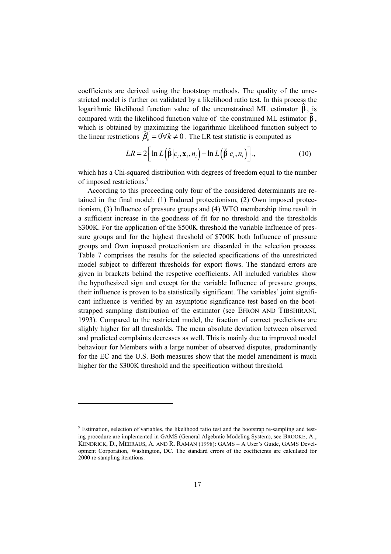coefficients are derived using the bootstrap methods. The quality of the unrestricted model is further on validated by a likelihood ratio test. In this process the logarithmic likelihood function value of the unconstrained ML estimator  $\hat{\beta}$ , is compared with the likelihood function value of the constrained ML estimator  $\hat{\beta}$ , which is obtained by maximizing the logarithmic likelihood function subject to the linear restrictions  $\widetilde{\beta_k} = 0 \forall k \neq 0$ . The LR test statistic is computed as

$$
LR = 2 \Big[ \ln L \Big( \hat{\beta} \Big| c_i, \mathbf{x}_i, n_i \Big) - \ln L \Big( \tilde{\beta} \Big| c_i, n_i \Big) \Big], \tag{10}
$$

which has a Chi-squared distribution with degrees of freedom equal to the number of imposed restrictions.<sup>9</sup>

According to this proceeding only four of the considered determinants are retained in the final model: (1) Endured protectionism, (2) Own imposed protectionism, (3) Influence of pressure groups and (4) WTO membership time result in a sufficient increase in the goodness of fit for no threshold and the thresholds \$300K. For the application of the \$500K threshold the variable Influence of pressure groups and for the highest threshold of \$700K both Influence of pressure groups and Own imposed protectionism are discarded in the selection process. Table 7 comprises the results for the selected specifications of the unrestricted model subject to different thresholds for export flows. The standard errors are given in brackets behind the respetive coefficients. All included variables show the hypothesized sign and except for the variable Influence of pressure groups, their influence is proven to be statistically significant. The variables' joint significant influence is verified by an asymptotic significance test based on the bootstrapped sampling distribution of the estimator (see EFRON AND TIBSHIRANI, 1993). Compared to the restricted model, the fraction of correct predictions are slighly higher for all thresholds. The mean absolute deviation between observed and predicted complaints decreases as well. This is mainly due to improved model behaviour for Members with a large number of observed disputes, predominantly for the EC and the U.S. Both measures show that the model amendment is much higher for the \$300K threshold and the specification without threshold.

l

<sup>&</sup>lt;sup>9</sup> Estimation, selection of variables, the likelihood ratio test and the bootstrap re-sampling and testing procedure are implemented in GAMS (General Algebraic Modeling System), see BROOKE, A., KENDRICK, D., MEERAUS, A. AND R. RAMAN (1998): GAMS – A User's Guide, GAMS Development Corporation, Washington, DC. The standard errors of the coefficients are calculated for 2000 re-sampling iterations.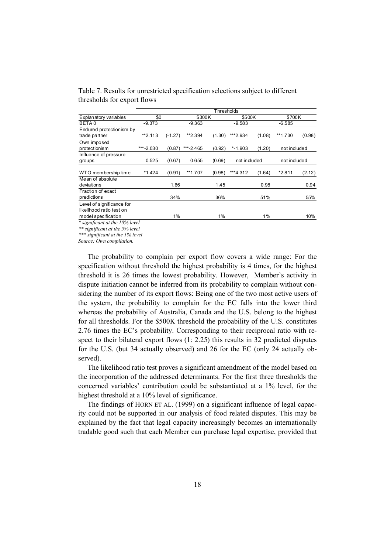Table 7. Results for unrestricted specification selections subject to different thresholds for export flows

|                                                       | Thresholds  |           |           |        |              |        |              |        |
|-------------------------------------------------------|-------------|-----------|-----------|--------|--------------|--------|--------------|--------|
| Explanatory variables                                 | \$0         |           | \$300K    |        | \$500K       |        | \$700K       |        |
| BETA0                                                 | $-9.373$    |           | $-9.363$  |        | $-9.583$     |        | $-6.585$     |        |
| Endured protectionism by                              |             |           |           |        |              |        |              |        |
| trade partner                                         | **2.113     | $(-1.27)$ | **2.394   | (1.30) | ***2.934     | (1.08) | **1.730      | (0.98) |
| Own imposed<br>protectionism                          | $***-2.030$ | (0.87)    | ***-2.465 | (0.92) | *-1.903      | (1.20) | not included |        |
| Influence of pressure                                 |             |           |           |        |              |        |              |        |
| groups                                                | 0.525       | (0.67)    | 0.655     | (0.69) | not included |        | not included |        |
| WTO membership time                                   | $*1.424$    | (0.91)    | **1.707   | (0.98) | ***4.312     | (1.64) | $*2.811$     | (2.12) |
| Mean of absolute                                      |             |           |           |        |              |        |              |        |
| deviations                                            |             | 1,66      |           | 1.45   |              | 0.98   |              | 0.94   |
| Fraction of exact                                     |             |           |           |        |              |        |              |        |
| predictions                                           |             | 34%       |           | 36%    |              | 51%    |              | 55%    |
| Level of significance for<br>likelihood ratio test on |             |           |           |        |              |        |              |        |
| model specification<br>$\cdots$                       |             | 1%        |           | 1%     |              | 1%     |              | 10%    |

*\* significant at the 10% level* 

*\*\* significant at the 5% level* 

*\*\*\* significant at the 1% level* 

*Source: Own compilation.* 

The probability to complain per export flow covers a wide range: For the specification without threshold the highest probability is 4 times, for the highest threshold it is 26 times the lowest probability. However, Member's activity in dispute initiation cannot be inferred from its probability to complain without considering the number of its export flows: Being one of the two most active users of the system, the probability to complain for the EC falls into the lower third whereas the probability of Australia, Canada and the U.S. belong to the highest for all thresholds. For the \$500K threshold the probability of the U.S. constitutes 2.76 times the EC's probability. Corresponding to their reciprocal ratio with respect to their bilateral export flows (1: 2.25) this results in 32 predicted disputes for the U.S. (but 34 actually observed) and 26 for the EC (only 24 actually observed).

The likelihood ratio test proves a significant amendment of the model based on the incorporation of the addressed determinants. For the first three thresholds the concerned variables' contribution could be substantiated at a 1% level, for the highest threshold at a 10% level of significance.

The findings of HORN ET AL. (1999) on a significant influence of legal capacity could not be supported in our analysis of food related disputes. This may be explained by the fact that legal capacity increasingly becomes an internationally tradable good such that each Member can purchase legal expertise, provided that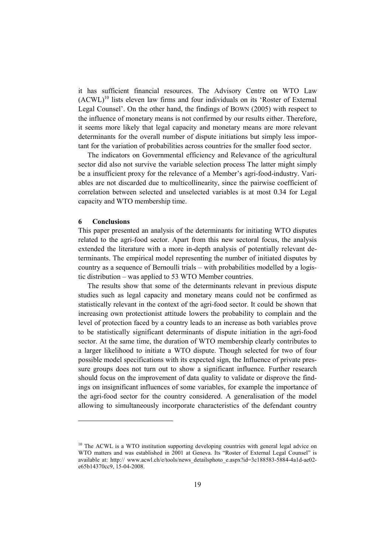it has sufficient financial resources. The Advisory Centre on WTO Law  $(ACWL)^{10}$  lists eleven law firms and four individuals on its 'Roster of External Legal Counsel'. On the other hand, the findings of BOWN (2005) with respect to the influence of monetary means is not confirmed by our results either. Therefore, it seems more likely that legal capacity and monetary means are more relevant determinants for the overall number of dispute initiations but simply less important for the variation of probabilities across countries for the smaller food sector.

The indicators on Governmental efficiency and Relevance of the agricultural sector did also not survive the variable selection process The latter might simply be a insufficient proxy for the relevance of a Member's agri-food-industry. Variables are not discarded due to multicollinearity, since the pairwise coefficient of correlation between selected and unselected variables is at most 0.34 for Legal capacity and WTO membership time.

# **6 Conclusions**

 $\overline{\phantom{a}}$ 

This paper presented an analysis of the determinants for initiating WTO disputes related to the agri-food sector. Apart from this new sectoral focus, the analysis extended the literature with a more in-depth analysis of potentially relevant determinants. The empirical model representing the number of initiated disputes by country as a sequence of Bernoulli trials – with probabilities modelled by a logistic distribution – was applied to 53 WTO Member countries.

The results show that some of the determinants relevant in previous dispute studies such as legal capacity and monetary means could not be confirmed as statistically relevant in the context of the agri-food sector. It could be shown that increasing own protectionist attitude lowers the probability to complain and the level of protection faced by a country leads to an increase as both variables prove to be statistically significant determinants of dispute initiation in the agri-food sector. At the same time, the duration of WTO membership clearly contributes to a larger likelihood to initiate a WTO dispute. Though selected for two of four possible model specifications with its expected sign, the Influence of private pressure groups does not turn out to show a significant influence. Further research should focus on the improvement of data quality to validate or disprove the findings on insignificant influences of some variables, for example the importance of the agri-food sector for the country considered. A generalisation of the model allowing to simultaneously incorporate characteristics of the defendant country

<sup>&</sup>lt;sup>10</sup> The ACWL is a WTO institution supporting developing countries with general legal advice on WTO matters and was established in 2001 at Geneva. Its "Roster of External Legal Counsel" is available at: http:// www.acwl.ch/e/tools/news\_detailsphoto\_e.aspx?id=3c188583-5884-4a1d-ae02 e65b14370cc9, 15-04-2008.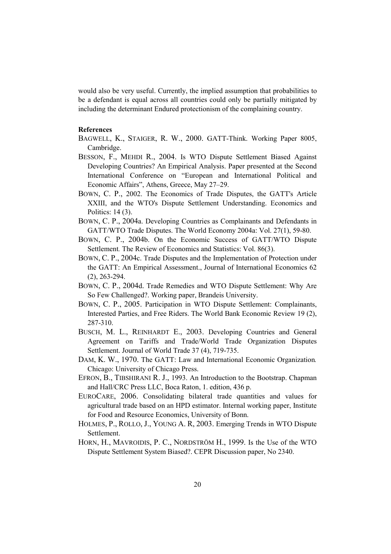would also be very useful. Currently, the implied assumption that probabilities to be a defendant is equal across all countries could only be partially mitigated by including the determinant Endured protectionism of the complaining country.

# **References**

- BAGWELL, K., STAIGER, R. W., 2000. GATT-Think. Working Paper 8005, Cambridge.
- BESSON, F., MEHDI R., 2004. Is WTO Dispute Settlement Biased Against Developing Countries? An Empirical Analysis. Paper presented at the Second International Conference on "European and International Political and Economic Affairs", Athens, Greece, May 27–29.
- BOWN, C. P., 2002. The Economics of Trade Disputes, the GATT's Article XXIII, and the WTO's Dispute Settlement Understanding. Economics and Politics: 14 (3).
- BOWN, C. P., 2004a. Developing Countries as Complainants and Defendants in GATT/WTO Trade Disputes. The World Economy 2004a: Vol. 27(1), 59-80.
- BOWN, C. P., 2004b. On the Economic Success of GATT/WTO Dispute Settlement*.* The Review of Economics and Statistics: Vol. 86(3).
- BOWN, C. P., 2004c. Trade Disputes and the Implementation of Protection under the GATT: An Empirical Assessment., Journal of International Economics 62 (2), 263-294.
- BOWN, C. P., 2004d. Trade Remedies and WTO Dispute Settlement: Why Are So Few Challenged?. Working paper, Brandeis University.
- BOWN, C. P., 2005. Participation in WTO Dispute Settlement: Complainants, Interested Parties, and Free Riders. The World Bank Economic Review 19 (2), 287-310.
- BUSCH, M. L., REINHARDT E., 2003. Developing Countries and General Agreement on Tariffs and Trade/World Trade Organization Disputes Settlement. Journal of World Trade 37 (4), 719-735.
- DAM, K. W., 1970. The GATT: Law and International Economic Organization*.* Chicago: University of Chicago Press.
- EFRON, B., TIBSHIRANI R. J., 1993. An Introduction to the Bootstrap. Chapman and Hall/CRC Press LLC, Boca Raton, 1. edition, 436 p.
- EUROCARE, 2006. Consolidating bilateral trade quantities and values for agricultural trade based on an HPD estimator. Internal working paper, Institute for Food and Resource Economics, University of Bonn.
- HOLMES, P., ROLLO, J., YOUNG A. R, 2003. Emerging Trends in WTO Dispute Settlement.
- HORN, H., MAVROIDIS, P. C., NORDSTRÖM H., 1999. Is the Use of the WTO Dispute Settlement System Biased?. CEPR Discussion paper, No 2340.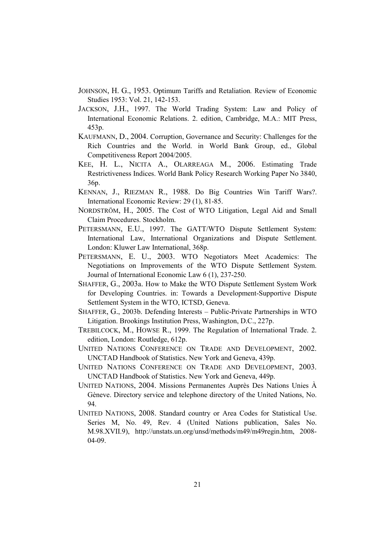- JOHNSON, H. G., 1953. Optimum Tariffs and Retaliation*.* Review of Economic Studies 1953: Vol. 21, 142-153.
- JACKSON, J.H., 1997. The World Trading System: Law and Policy of International Economic Relations. 2. edition, Cambridge, M.A.: MIT Press, 453p.
- KAUFMANN, D., 2004. Corruption, Governance and Security: Challenges for the Rich Countries and the World. in World Bank Group, ed., Global Competitiveness Report 2004/2005.
- KEE, H. L., NICITA A., OLARREAGA M., 2006. Estimating Trade Restrictiveness Indices. World Bank Policy Research Working Paper No 3840, 36p.
- KENNAN, J., RIEZMAN R., 1988. Do Big Countries Win Tariff Wars?. International Economic Review: 29 (1), 81-85.
- NORDSTRÖM, H., 2005. The Cost of WTO Litigation, Legal Aid and Small Claim Procedures. Stockholm.
- PETERSMANN, E.U., 1997. The GATT/WTO Dispute Settlement System: International Law, International Organizations and Dispute Settlement. London: Kluwer Law International, 368p.
- PETERSMANN, E. U., 2003. WTO Negotiators Meet Academics: The Negotiations on Improvements of the WTO Dispute Settlement System. Journal of International Economic Law 6 (1), 237-250.
- SHAFFER, G., 2003a. How to Make the WTO Dispute Settlement System Work for Developing Countries. in: Towards a Development-Supportive Dispute Settlement System in the WTO, ICTSD, Geneva.
- SHAFFER, G., 2003b. Defending Interests Public-Private Partnerships in WTO Litigation. Brookings Institution Press, Washington, D.C., 227p.
- TREBILCOCK, M., HOWSE R., 1999. The Regulation of International Trade. 2. edition, London: Routledge, 612p.
- UNITED NATIONS CONFERENCE ON TRADE AND DEVELOPMENT, 2002. UNCTAD Handbook of Statistics. New York and Geneva, 439p.
- UNITED NATIONS CONFERENCE ON TRADE AND DEVELOPMENT, 2003. UNCTAD Handbook of Statistics. New York and Geneva, 449p.
- UNITED NATIONS, 2004. Missions Permanentes Auprès Des Nations Unies À Gèneve. Directory service and telephone directory of the United Nations, No. 94.
- UNITED NATIONS, 2008. Standard country or Area Codes for Statistical Use. Series M, No. 49, Rev. 4 (United Nations publication, Sales No. M.98.XVII.9), http://unstats.un.org/unsd/methods/m49/m49regin.htm, 2008- 04-09.